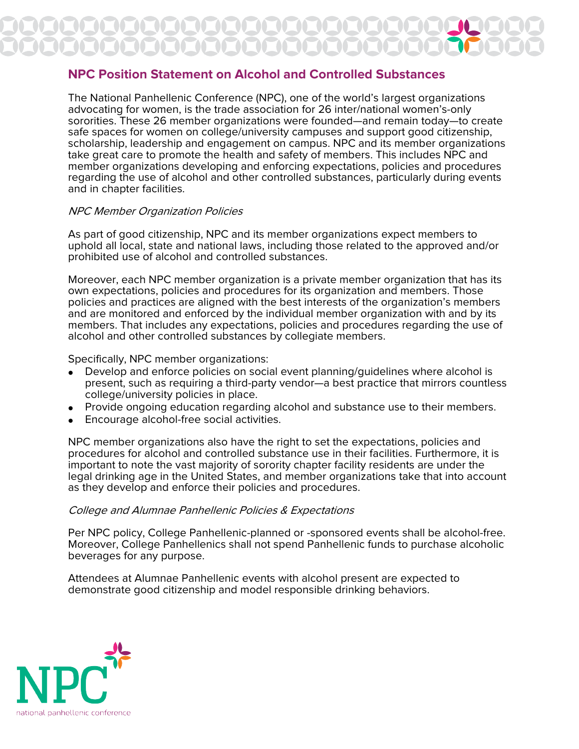# **NPC Position Statement on Alcohol and Controlled Substances**

The National Panhellenic Conference (NPC), one of the world's largest organizations advocating for women, is the trade association for 26 inter/national women's-only sororities. These 26 member organizations were founded—and remain today—to create safe spaces for women on college/university campuses and support good citizenship, scholarship, leadership and engagement on campus. NPC and its member organizations take great care to promote the health and safety of members. This includes NPC and member organizations developing and enforcing expectations, policies and procedures regarding the use of alcohol and other controlled substances, particularly during events and in chapter facilities.

## NPC Member Organization Policies

As part of good citizenship, NPC and its member organizations expect members to uphold all local, state and national laws, including those related to the approved and/or prohibited use of alcohol and controlled substances.

Moreover, each NPC member organization is a private member organization that has its own expectations, policies and procedures for its organization and members. Those policies and practices are aligned with the best interests of the organization's members and are monitored and enforced by the individual member organization with and by its members. That includes any expectations, policies and procedures regarding the use of alcohol and other controlled substances by collegiate members.

Specifically, NPC member organizations:

- Develop and enforce policies on social event planning/guidelines where alcohol is present, such as requiring a third-party vendor—a best practice that mirrors countless college/university policies in place.
- Provide ongoing education regarding alcohol and substance use to their members.
- Encourage alcohol-free social activities.

NPC member organizations also have the right to set the expectations, policies and procedures for alcohol and controlled substance use in their facilities. Furthermore, it is important to note the vast majority of sorority chapter facility residents are under the legal drinking age in the United States, and member organizations take that into account as they develop and enforce their policies and procedures.

### College and Alumnae Panhellenic Policies & Expectations

Per NPC policy, College Panhellenic-planned or -sponsored events shall be alcohol-free. Moreover, College Panhellenics shall not spend Panhellenic funds to purchase alcoholic beverages for any purpose.

Attendees at Alumnae Panhellenic events with alcohol present are expected to demonstrate good citizenship and model responsible drinking behaviors.